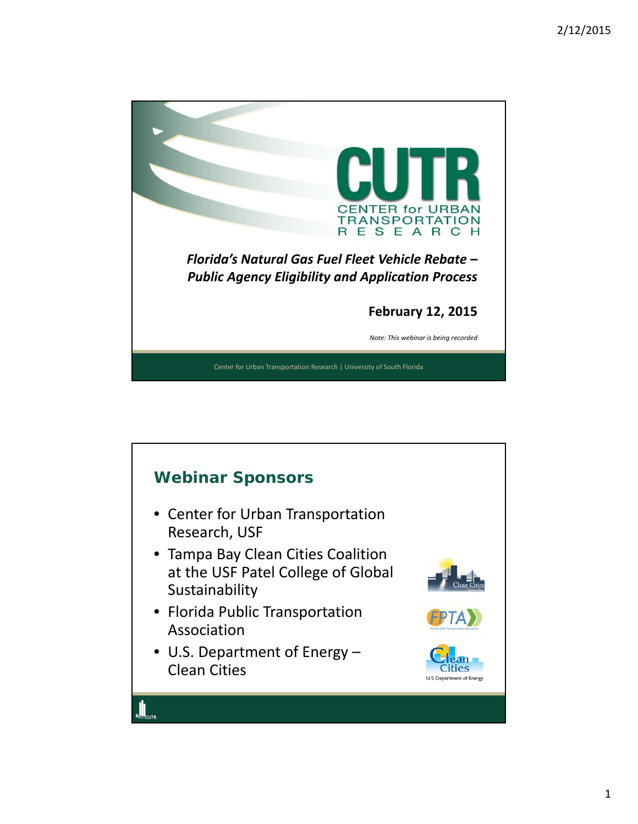

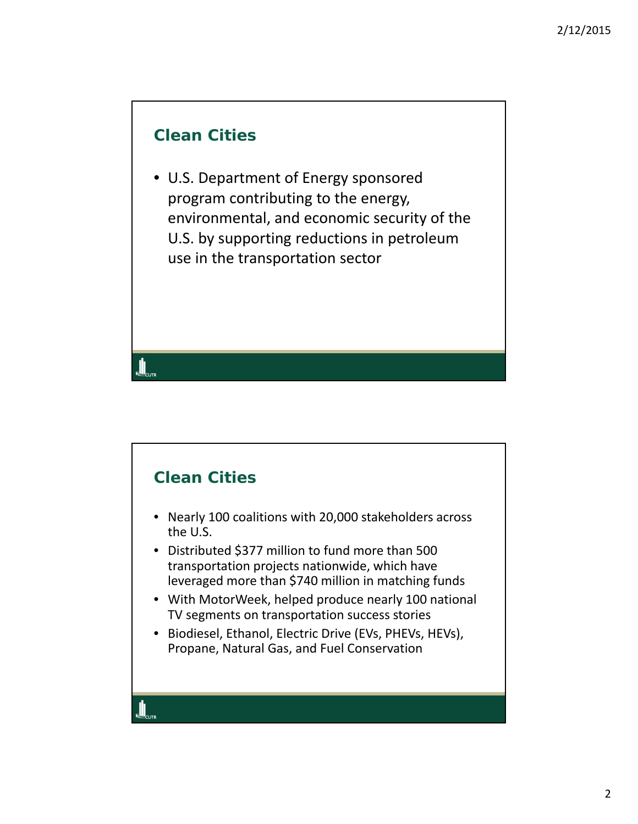## **Clean Cities**

• U.S. Department of Energy sponsored program contributing to the energy, environmental, and economic security of the U.S. by supporting reductions in petroleum use in the transportation sector

## **Clean Cities**

- Nearly 100 coalitions with 20,000 stakeholders across the U.S.
- Distributed \$377 million to fund more than 500 transportation projects nationwide, which have leveraged more than \$740 million in matching funds
- With MotorWeek, helped produce nearly 100 national TV segments on transportation success stories
- Biodiesel, Ethanol, Electric Drive (EVs, PHEVs, HEVs), Propane, Natural Gas, and Fuel Conservation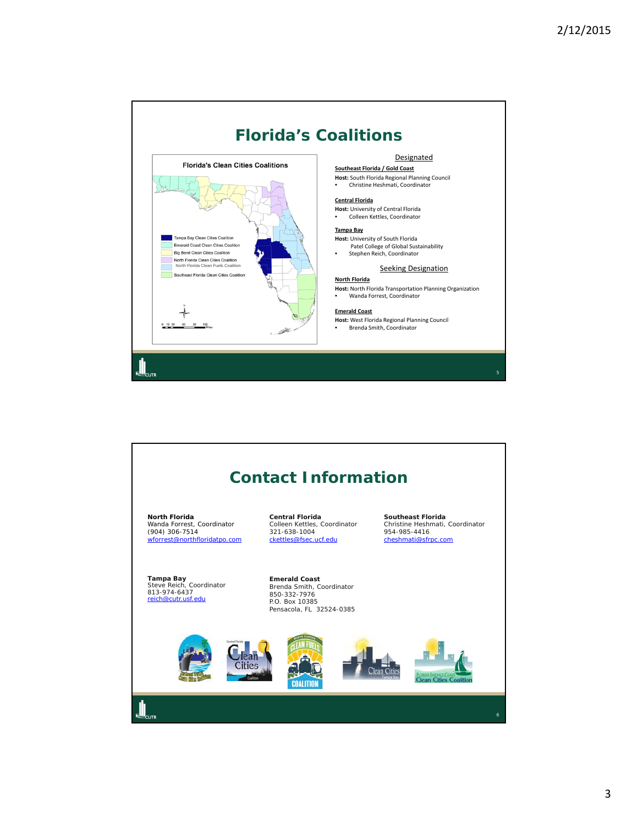

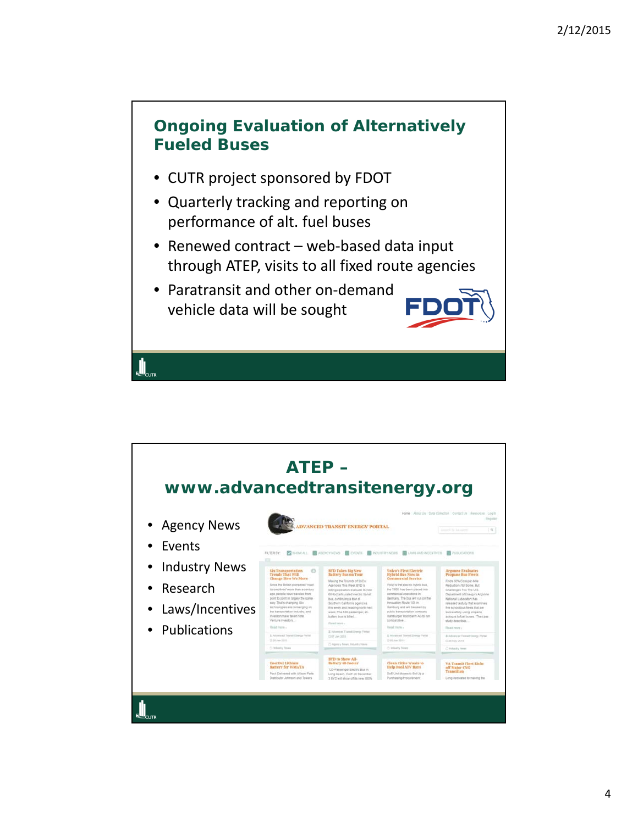